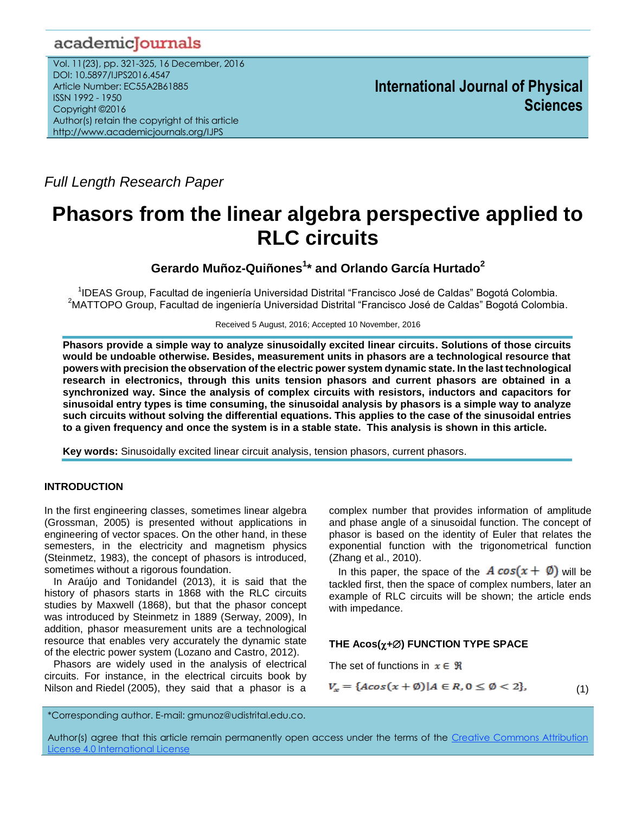# academicJournals

Vol. 11(23), pp. 321-325, 16 December, 2016 DOI: 10.5897/IJPS2016.4547 Article Number: EC55A2B61885 ISSN 1992 - 1950 Copyright ©2016 Author(s) retain the copyright of this article http://www.academicjournals.org/IJPS

*Full Length Research Paper*

# **Phasors from the linear algebra perspective applied to RLC circuits**

**Gerardo Muñoz-Quiñones<sup>1</sup> \* and Orlando García Hurtado<sup>2</sup>**

<sup>1</sup>IDEAS Group, Facultad de ingeniería Universidad Distrital "Francisco José de Caldas" Bogotá Colombia. <sup>2</sup>MATTOPO Group, Facultad de ingeniería Universidad Distrital "Francisco José de Caldas" Bogotá Colombia.

Received 5 August, 2016; Accepted 10 November, 2016

**Phasors provide a simple way to analyze sinusoidally excited linear circuits. Solutions of those circuits would be undoable otherwise. Besides, measurement units in phasors are a technological resource that powers with precision the observation of the electric power system dynamic state. In the last technological research in electronics, through this units tension phasors and current phasors are obtained in a synchronized way. Since the analysis of complex circuits with resistors, inductors and capacitors for sinusoidal entry types is time consuming, the sinusoidal analysis by phasors is a simple way to analyze such circuits without solving the differential equations. This applies to the case of the sinusoidal entries to a given frequency and once the system is in a stable state. This analysis is shown in this article.** 

**Key words:** Sinusoidally excited linear circuit analysis, tension phasors, current phasors.

# **INTRODUCTION**

In the first engineering classes, sometimes linear algebra (Grossman, 2005) is presented without applications in engineering of vector spaces. On the other hand, in these semesters, in the electricity and magnetism physics (Steinmetz, 1983), the concept of phasors is introduced, sometimes without a rigorous foundation.

In Araújo and Tonidandel (2013), it is said that the history of phasors starts in 1868 with the RLC circuits studies by Maxwell (1868), but that the phasor concept was introduced by Steinmetz in 1889 (Serway, 2009), In addition, phasor measurement units are a technological resource that enables very accurately the dynamic state of the electric power system (Lozano and Castro, 2012).

Phasors are widely used in the analysis of electrical circuits. For instance, in the electrical circuits book by Nilson and Riedel (2005), they said that a phasor is a complex number that provides information of amplitude and phase angle of a sinusoidal function. The concept of phasor is based on the identity of Euler that relates the exponential function with the trigonometrical function (Zhang et al., 2010).

In this paper, the space of the  $A\cos(x+\emptyset)$  will be tackled first, then the space of complex numbers, later an example of RLC circuits will be shown; the article ends with impedance.

# **THE Acos(+) FUNCTION TYPE SPACE**

The set of functions in  $x \in \Re$ 

$$
V_x = \{A\cos(x+\emptyset)|A \in R, 0 \le \emptyset < 2\},\tag{1}
$$

\*Corresponding author. E-mail: gmunoz@udistrital.edu.co.

Author(s) agree that this article remain permanently open access under the terms of the Creative Commons Attribution [License 4.0 International License](http://creativecommons.org/licenses/by/4.0/deed.en_US)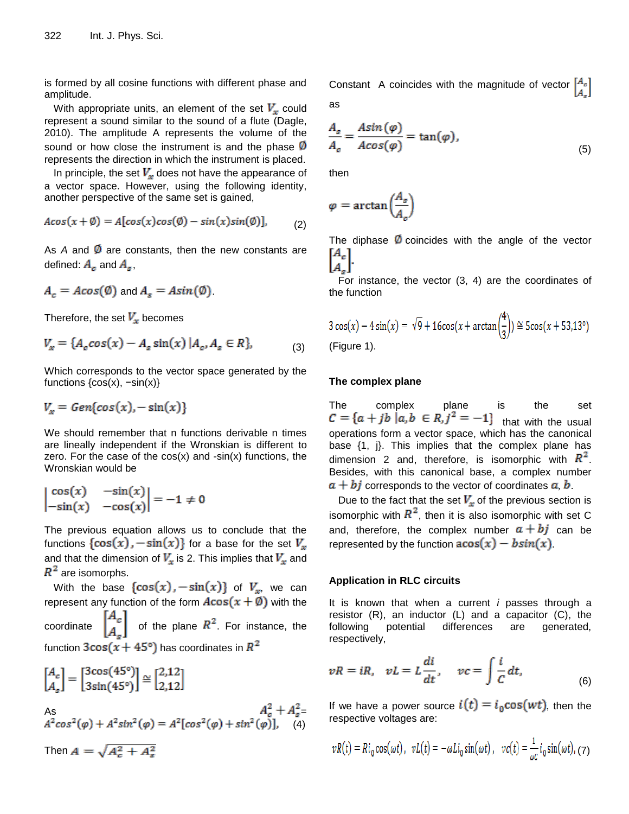is formed by all cosine functions with different phase and amplitude.

With appropriate units, an element of the set  $V_x$  could represent a sound similar to the sound of a flute (Dagle, 2010). The amplitude A represents the volume of the sound or how close the instrument is and the phase  $\emptyset$ represents the direction in which the instrument is placed.

In principle, the set  $V_x$  does not have the appearance of a vector space. However, using the following identity, another perspective of the same set is gained,

$$
A\cos(x+\emptyset) = A[\cos(x)\cos(\emptyset) - \sin(x)\sin(\emptyset)], \qquad (2)
$$

As  $A$  and  $\emptyset$  are constants, then the new constants are defined:  $A_c$  and  $A_s$ ,

$$
A_c = A\cos(\emptyset) \text{ and } A_s = A\sin(\emptyset).
$$

Therefore, the set  $V_x$  becomes

$$
V_x = \{A_c \cos(x) - A_s \sin(x) | A_c, A_s \in R\},\tag{3}
$$

Which corresponds to the vector space generated by the functions  $\{cos(x), -sin(x)\}$ 

$$
V_x = Gen\{cos(x), -\sin(x)\}\
$$

We should remember that n functions derivable n times are lineally independent if the Wronskian is different to zero. For the case of the  $cos(x)$  and  $-sin(x)$  functions, the Wronskian would be

$$
\begin{vmatrix}\n\cos(x) & -\sin(x) \\
-\sin(x) & -\cos(x)\n\end{vmatrix} = -1 \neq 0
$$

The previous equation allows us to conclude that the functions  $\{\cos(x), -\sin(x)\}$  for a base for the set  $V_x$ and that the dimension of  $V_x$  is 2. This implies that  $V_x$  and  $R^2$  are isomorphs.

With the base  $\{\cos(x), -\sin(x)\}$  of  $V_x$ , we can represent any function of the form  $A\cos(x+\emptyset)$  with the

coordinate  $\begin{bmatrix} A_c \\ A_c \end{bmatrix}$  of the plane  $R^2$ . For instance, the function  $3\cos(x+45^\circ)$  has coordinates in  $R^2$ 

$$
\begin{bmatrix} A_c \\ A_s \end{bmatrix} = \begin{bmatrix} 3\cos(45^\circ) \\ 3\sin(45^\circ) \end{bmatrix} \cong \begin{bmatrix} 2,12 \\ 2,12 \end{bmatrix}
$$
  
As  

$$
A_c^2 + A_s^2 = A^2 \cos^2(\varphi) + A^2 \sin^2(\varphi) = A^2 [\cos^2(\varphi) + \sin^2(\varphi)], \quad (4)
$$

Then  $A = \sqrt{A_c^2 + A_s^2}$ 

Constant A coincides with the magnitude of vector  $\begin{bmatrix} A_c \end{bmatrix}$ as

$$
\frac{A_s}{A_c} = \frac{A\sin(\varphi)}{A\cos(\varphi)} = \tan(\varphi),\tag{5}
$$

then

$$
\varphi = \arctan\left(\frac{A_s}{A_c}\right)
$$

The diphase  $\varphi$  coincides with the angle of the vector

For instance, the vector (3, 4) are the coordinates of the function

$$
3\cos(x) - 4\sin(x) = \sqrt{9} + 16\cos(x + \arctan(\frac{4}{3})) \approx 5\cos(x + 53.13^{\circ})
$$
  
(Figure 1).

# **The complex plane**

The complex plane is the set that with the usual operations form a vector space, which has the canonical base {1, j}. This implies that the complex plane has dimension 2 and, therefore, is isomorphic with  $R^2$ . Besides, with this canonical base, a complex number  $a + bj$  corresponds to the vector of coordinates  $a, b$ .

Due to the fact that the set  $V_x$  of the previous section is isomorphic with  $R^2$ , then it is also isomorphic with set C and, therefore, the complex number  $a + bj$  can be represented by the function  $\arccos(x) - b\sin(x)$ .

#### **Application in RLC circuits**

It is known that when a current *i* passes through a resistor  $(R)$ , an inductor  $(L)$  and a capacitor  $(C)$ , the following potential differences are generated, respectively,

$$
vR = iR, \quad vL = L\frac{di}{dt}, \quad vc = \int \frac{i}{C} dt,
$$
\n(6)

If we have a power source  $i(t) = i_0 \cos(wt)$ , then the respective voltages are:

$$
vR(t) = Ri_0 \cos(\omega t), \ \ vL(t) = -\omega Li_0 \sin(\omega t), \ \ vc(t) = \frac{1}{\omega c} i_0 \sin(\omega t), \ (7)
$$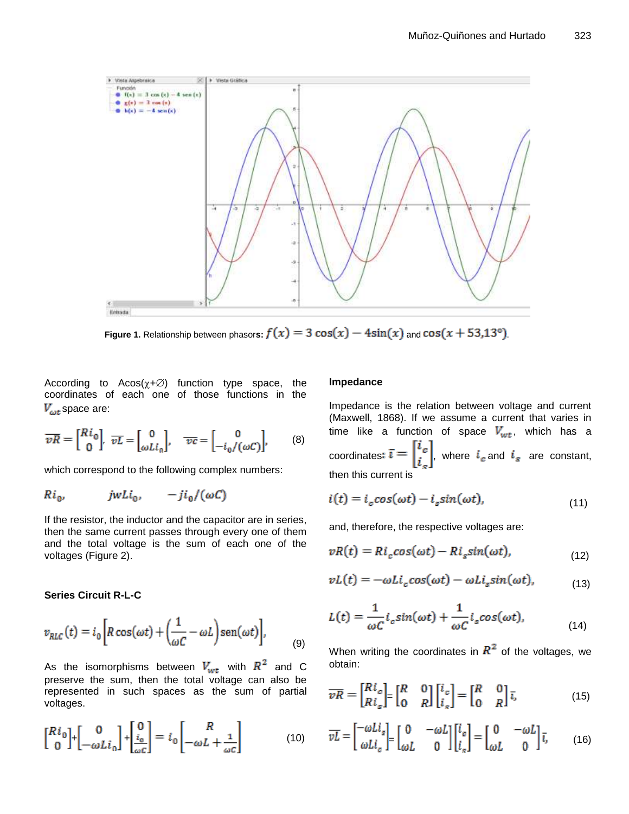

**Figure 1.** Relationship between phasors:  $f(x) = 3 \cos(x) - 4\sin(x)$  and  $\cos(x + 53.13^{\circ})$ .

According to  $A\cos(\chi+\varnothing)$  function type space, the coordinates of each one of those functions in the  $V_{\omega t}$ space are:

$$
\overline{vR} = \begin{bmatrix} Ri_0 \\ 0 \end{bmatrix}, \overline{vL} = \begin{bmatrix} 0 \\ \omega L i_0 \end{bmatrix}, \quad \overline{v}c = \begin{bmatrix} 0 \\ -i_0/(\omega C) \end{bmatrix}, \quad (8)
$$

which correspond to the following complex numbers:

$$
Ri_0, \t jwLi_0, \t -ji_0/(\omega C)
$$

If the resistor, the inductor and the capacitor are in series, then the same current passes through every one of them and the total voltage is the sum of each one of the voltages (Figure 2).

# **Series Circuit R-L-C**

$$
v_{RLC}(t) = i_0 \left[ R \cos(\omega t) + \left( \frac{1}{\omega C} - \omega L \right) \sin(\omega t) \right],
$$
 (9)

As the isomorphisms between  $V_{wt}$  with  $R^2$  and C preserve the sum, then the total voltage can also be represented in such spaces as the sum of partial voltages.

$$
\begin{bmatrix} Ri_0 \\ 0 \end{bmatrix} + \begin{bmatrix} 0 \\ -\omega Li_0 \end{bmatrix} + \begin{bmatrix} 0 \\ \frac{i_0}{\omega C} \end{bmatrix} = i_0 \begin{bmatrix} R \\ -\omega L + \frac{1}{\omega C} \end{bmatrix}
$$
(10)

#### **Impedance**

Impedance is the relation between voltage and current (Maxwell, 1868). If we assume a current that varies in time like a function of space  $V_{wt}$ , which has a coordinates:  $\bar{\iota} = \begin{bmatrix} i_c \\ i_s \end{bmatrix}$ , where  $i_c$  and  $i_s$  are constant, then this current is

$$
i(t) = ic cos(\omega t) - is sin(\omega t),
$$
\n(11)

and, therefore, the respective voltages are:

$$
vR(t) = Ric cos(\omega t) - Ris sin(\omega t),
$$
\n(12)

$$
vL(t) = -\omega Li_c \cos(\omega t) - \omega Li_s \sin(\omega t), \tag{13}
$$

$$
L(t) = \frac{1}{\omega C} i_c \sin(\omega t) + \frac{1}{\omega C} i_s \cos(\omega t),
$$
\n(14)

When writing the coordinates in  $R^2$  of the voltages, we obtain:

$$
\overline{vR} = \begin{bmatrix} Ri_c \\ Ri_s \end{bmatrix} = \begin{bmatrix} R & 0 \\ 0 & R \end{bmatrix} \begin{bmatrix} i_c \\ i_s \end{bmatrix} = \begin{bmatrix} R & 0 \\ 0 & R \end{bmatrix} \overline{i},
$$
(15)

$$
\overline{vL} = \begin{bmatrix} -\omega L i_s \\ \omega L i_c \end{bmatrix} = \begin{bmatrix} 0 & -\omega L \\ \omega L & 0 \end{bmatrix} \begin{bmatrix} i_c \\ i_s \end{bmatrix} = \begin{bmatrix} 0 & -\omega L \\ \omega L & 0 \end{bmatrix} \overline{i},
$$
(16)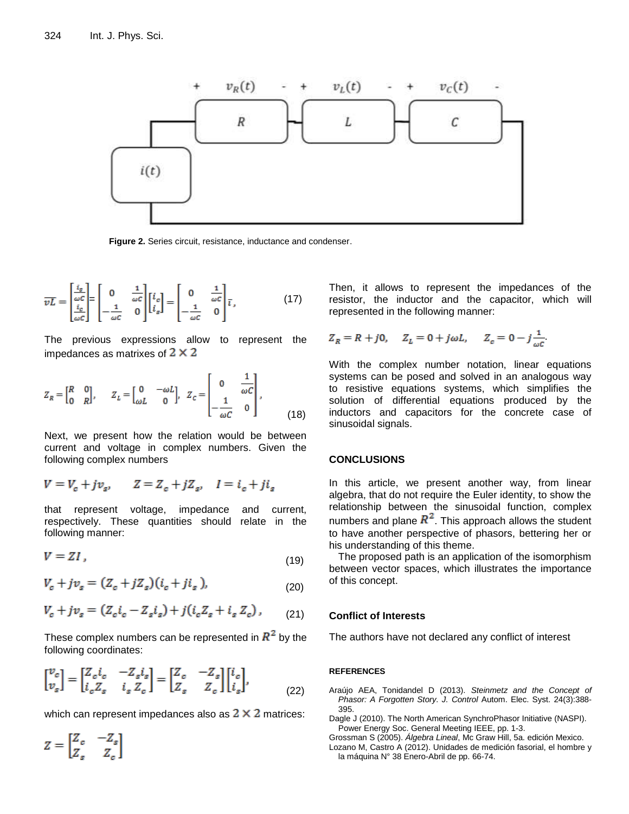

**Figure 2.** Series circuit, resistance, inductance and condenser.

$$
\overline{vL} = \begin{bmatrix} \frac{i_s}{\omega c} \\ \frac{i_c}{\omega c} \end{bmatrix} = \begin{bmatrix} 0 & \frac{1}{\omega c} \\ -\frac{1}{\omega c} & 0 \end{bmatrix} \begin{bmatrix} i_c \\ i_s \end{bmatrix} = \begin{bmatrix} 0 & \frac{1}{\omega c} \\ -\frac{1}{\omega c} & 0 \end{bmatrix} \overline{\iota},
$$
(17)

The previous expressions allow to represent the impedances as matrixes of  $2 \times 2$ 

$$
Z_R = \begin{bmatrix} R & 0 \\ 0 & R \end{bmatrix}, \qquad Z_L = \begin{bmatrix} 0 & -\omega L \\ \omega L & 0 \end{bmatrix}, \quad Z_C = \begin{bmatrix} 0 & \frac{1}{\omega C} \\ -\frac{1}{\omega C} & 0 \end{bmatrix}, \tag{18}
$$

Next, we present how the relation would be between current and voltage in complex numbers. Given the following complex numbers

$$
V = V_c + jv_s, \qquad Z = Z_c + jZ_s, \quad I = i_c + ji_s
$$

that represent voltage, impedance and current, respectively. These quantities should relate in the following manner:

$$
V = ZI \tag{19}
$$

$$
V_c + jv_s = (Z_c + jZ_s)(i_c + ji_s),
$$
 (20)

$$
V_c + jv_s = (Z_c i_c - Z_s i_s) + j(i_c Z_s + i_s Z_c),
$$
 (21)

These complex numbers can be represented in  $R^2$  by the following coordinates:

$$
\begin{bmatrix} v_c \\ v_s \end{bmatrix} = \begin{bmatrix} Z_c i_c & -Z_s i_s \\ i_c Z_s & i_s Z_c \end{bmatrix} = \begin{bmatrix} Z_c & -Z_s \\ Z_s & Z_c \end{bmatrix} \begin{bmatrix} i_c \\ i_s \end{bmatrix},
$$
(22)

which can represent impedances also as  $2 \times 2$  matrices:

 $Z = \begin{bmatrix} Z_c & -Z_s \\ Z_s & Z_c \end{bmatrix}$ 

Then, it allows to represent the impedances of the resistor, the inductor and the capacitor, which will represented in the following manner:

$$
Z_R = R + j0
$$
,  $Z_L = 0 + j\omega L$ ,  $Z_c = 0 - j\frac{1}{\omega c}$ 

With the complex number notation, linear equations systems can be posed and solved in an analogous way to resistive equations systems, which simplifies the solution of differential equations produced by the inductors and capacitors for the concrete case of sinusoidal signals.

#### **CONCLUSIONS**

In this article, we present another way, from linear algebra, that do not require the Euler identity, to show the relationship between the sinusoidal function, complex numbers and plane  $R^2$ . This approach allows the student to have another perspective of phasors, bettering her or his understanding of this theme.

The proposed path is an application of the isomorphism between vector spaces, which illustrates the importance of this concept.

### **Conflict of Interests**

The authors have not declared any conflict of interest

#### **REFERENCES**

- Araújo AEA, Tonidandel D (2013). *Steinmetz and the Concept of Phasor: A Forgotten Story. J. Control* Autom. Elec. Syst. 24(3):388- 395.
- Dagle J (2010). The North American SynchroPhasor Initiative (NASPI). Power Energy Soc. General Meeting IEEE, pp. 1-3.
- Grossman S (2005). *Álgebra Lineal*, Mc Graw Hill, 5a. edición Mexico. Lozano M, Castro A (2012). Unidades de medición fasorial, el hombre y la máquina N° 38 Enero-Abril de pp. 66-74.